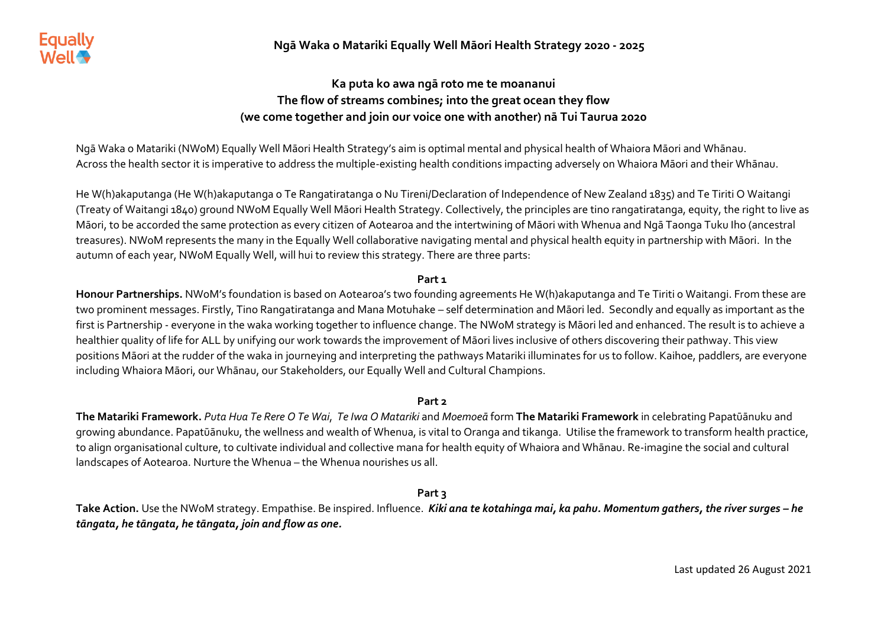## **Ka puta ko awa ngā roto me te moananui The flow of streams combines; into the great ocean they flow (we come together and join our voice one with another) nā Tui Taurua 2020**

Ngā Waka o Matariki (NWoM) Equally Well Māori Health Strategy's aim is optimal mental and physical health of Whaiora Māori and Whānau. Across the health sector it is imperative to address the multiple-existing health conditions impacting adversely on Whaiora Māori and their Whānau.

He W(h)akaputanga (He W(h)akaputanga o Te Rangatiratanga o Nu Tireni/Declaration of Independence of New Zealand 1835) and Te Tiriti O Waitangi (Treaty of Waitangi 1840) ground NWoM Equally Well Māori Health Strategy. Collectively, the principles are tino rangatiratanga, equity, the right to live as Māori, to be accorded the same protection as every citizen of Aotearoa and the intertwining of Māori with Whenua and Ngā Taonga Tuku Iho (ancestral treasures). NWoM represents the many in the Equally Well collaborative navigating mental and physical health equity in partnership with Māori. In the autumn of each year, NWoM Equally Well, will hui to review this strategy. There are three parts:

## **Part 1**

**Honour Partnerships.** NWoM's foundation is based on Aotearoa's two founding agreements He W(h)akaputanga and Te Tiriti o Waitangi. From these are two prominent messages. Firstly, Tino Rangatiratanga and Mana Motuhake – self determination and Māori led. Secondly and equally as important as the first is Partnership - everyone in the waka working together to influence change. The NWoM strategy is Māori led and enhanced. The result is to achieve a healthier quality of life for ALL by unifying our work towards the improvement of Māori lives inclusive of others discovering their pathway. This view positions Māori at the rudder of the waka in journeying and interpreting the pathways Matariki illuminates for us to follow. Kaihoe, paddlers, are everyone including Whaiora Māori, our Whānau, our Stakeholders, our Equally Well and Cultural Champions.

## **Part 2**

**The Matariki Framework.** *Puta Hua Te Rere O Te Wai*, *Te Iwa O Matariki* and *Moemoeā* form **The Matariki Framework** in celebrating Papatūānuku and growing abundance. Papatūānuku, the wellness and wealth of Whenua, is vital to Oranga and tikanga. Utilise the framework to transform health practice, to align organisational culture, to cultivate individual and collective mana for health equity of Whaiora and Whānau. Re-imagine the social and cultural landscapes of Aotearoa. Nurture the Whenua – the Whenua nourishes us all.

## **Part 3**

Take Action. Use the NWoM strategy. Empathise. Be inspired. Influence. *Kiki ana te kotahinga mai, ka pahu. Momentum gathers, the river surges - he tāngata, he tāngata, he tāngata, join and flow as one.*